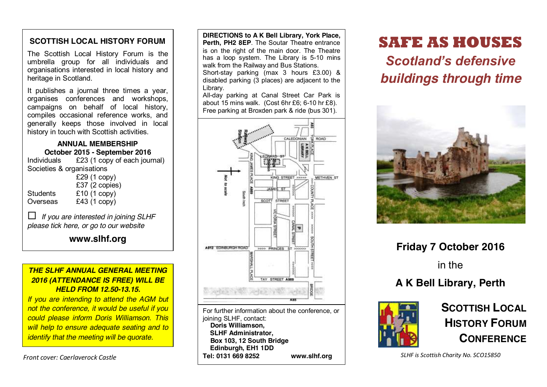# **SCOTTISH LOCAL HISTORY FORUM**

The Scottish Local History Forum is the umbrella group for all individuals and organisations interested in local history and heritage in Scotland.

It publishes a journal three times a year, organises conferences and workshops, campaigns on behalf of local history, compiles occasional reference works, and generally keeps those involved in local history in touch with Scottish activities.

**ANNUAL MEMBERSHIP October 2015 - September 2016**<br>Individuals £23 (1 copy of each jour  $£23$  (1 copy of each journal) Societies & organisations £29 (1 copy) £37 (2 copies)

|          | LUI TE UUPIU  |
|----------|---------------|
| Students | £10(1 copy)   |
| Overseas | $£43(1$ copy) |

 *If you are interested in joining SLHF please tick here, or go to our website*

**www.slhf.org**

# *THE SLHF ANNUAL GENERAL MEETING 2016 (ATTENDANCE IS FREE) WILL BE HELD FROM 12.50-13.15.*

*If you are intending to attend the AGM but not the conference, it would be useful if you could please inform Doris Williamson. This will help to ensure adequate seating and to identify that the meeting will be quorate.*

*Front cover: Caerlaverock Castle*

**DIRECTIONS to A K Bell Library, York Place, Perth, PH2 8EP**. The Soutar Theatre entrance is on the right of the main door. The Theatre has a loop system. The Library is 5-10 mins walk from the Railway and Bus Stations. Short-stay parking (max 3 hours £3.00) & disabled parking (3 places) are adjacent to the Library.

All-day parking at Canal Street Car Park is about 15 mins walk. (Cost 6hr £6; 6-10 hr £8). Free parking at Broxden park & ride (bus 301).



**SAFE AS HOUSES**

*Scotland's defensive buildings through time*



**Friday 7 October 2016**

in the

# **A K Bell Library, Perth**



**SCOTTISH LOCAL HISTORY FORUM CONFERENCE**

*SLHF is Scottish Charity No. SCO15850*